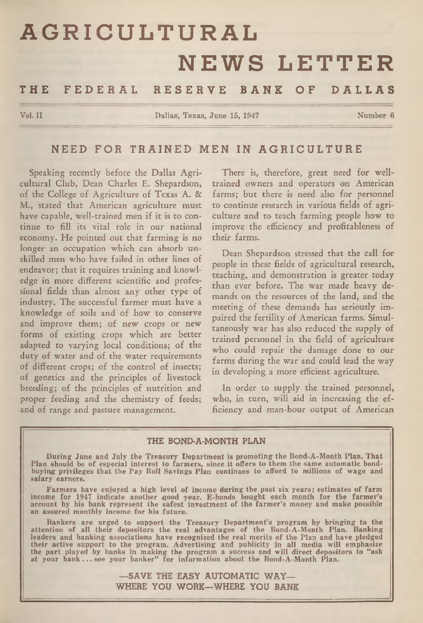# **AGRICULTURAL NEWS LETTER**

THE FEDERAL RESERVE BANK OF DALLAS

**Vol. II Dallas, Texas, June 15, 1947 Number 6**

# NEED FOR TRAINED MEN IN AGRICULTURE

Speaking recently before the Dallas Agricultural Club, Dean Charles E. Shepardson, of the College of Agriculture of Texas A. & M., stated that American agriculture must have capable, well-trained men if it is to continue to fill its vital role in our national economy. He pointed out that farming is no longer an occupation which can absorb unskilled men who have failed in other lines of endeavor; that it requires training and knowledge in more different scientific and professional fields than almost any other type of industry. The successful farmer must have a knowledge of soils and of how to conserve and improve them; of new crops or new forms of existing crops which are better adapted to varying local conditions; of the duty of water and of the water requirements of different crops; of the control of insects; of genetics and the principles of livestock breeding; of the principles of nutrition and proper feeding and the chemistry of feeds; and of range and pasture management.

There is, therefore, great need for welltrained owners and operators on American farms; but there is need also for personnel to continue research in various fields of agriculture and to teach farming people how to improve the efficiency and profitableness of their farms.

Dean Shepardson stressed that the call for people in these fields of agricultural research, teaching, and demonstration is greater today than ever before. The war made heavy demands on the resources of the land, and the meeting of these demands has seriously impaired the fertility of American farms. Simultaneously war has also reduced the supply of trained personnel in the field of agriculture who could repair the damage done to our farms during the war and could lead the way in developing a more efficient agriculture.

In order to supply the trained personnel, who, in turn, will aid in increasing the efficiency and man-hour output of American

#### THE BOND-A-MONTH PLAN

During June and July the Treasury Department is promoting the Bond-A-Month Plan. That<br>Plan should be of especial interest to farmers, since it offers to them the same automatic bond-<br>buying privileges that the Pay Roll Sav

Farmers have enjoyed a high level of income during the past six years; estimates of farm income for 1947 indicate another good year. E-bonds bought each month for the farmer's account by his bank represent the safest inves

Bankers are urged to support the Treasury Department's program by bringing to the<br>attention of all their depositors the real advantages of the Bond-A-Month Plan. Banking<br>leaders and banking associations have recognized the

—SAVE THE EASY AUTOMATIC WAY— WHERE YOU WORK—WHERE YOU BANK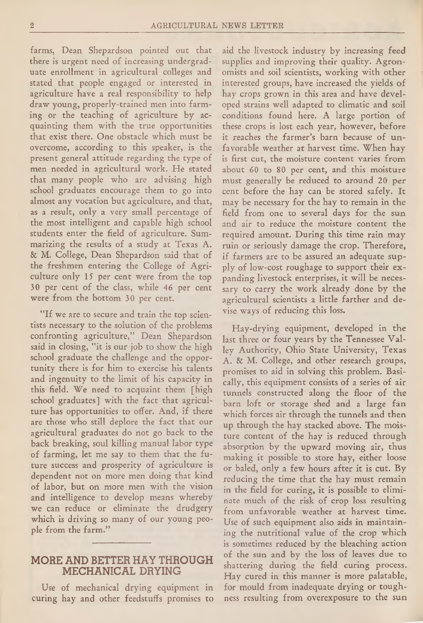farms, Dean Shepardson pointed out that there is urgent need of increasing undergraduate enrollment in agricultural colleges and stated that people engaged or interested in agriculture have a real responsibility to help draw young, properly-trained men into farming or the teaching of agriculture by acquainting them with the true opportunities that exist there. One obstacle which must be overcome, according to this speaker, is the present general attitude regarding the type of men needed in agricultural work. He stated that many people who are advising high school graduates encourage them to go into almost any vocation but agriculture, and that, as a result, only a very small percentage of the most intelligent and capable high school students enter the field of agriculture. Summarizing the results of a study at Texas A. & M. College, Dean Shepardson said that of the freshmen entering the College of Agriculture only 15 per cent were from the top 30 per cent of the class, while 46 per cent were from the bottom 30 per cent.

"If we are to secure and train the top scientists necessary to the solution of the problems confronting agriculture," Dean Shepardson said in closing, "it is our job to show the high school graduate the challenge and the opportunity there is for him to exercise his talents and ingenuity to the limit of his capacity in this field. We need to acquaint them [high school graduates] with the fact that agriculture has opportunities to offer. And, if there are those who still deplore the fact that our agricultural graduates do not go back to the back breaking, soul killing manual labor type of farming, let me say to them that the future success and prosperity of agriculture is dependent not on more men doing that kind of labor, but on more men with the vision and intelligence to develop means whereby we can reduce or eliminate the drudgery which is driving so many of our young people from the farm."

## MORE AND BETTER HAY THROUGH MECHANICAL DRYING

Use of mechanical drying equipment in curing hay and other feedstuffs promises to aid the livestock industry by increasing feed supplies and improving their quality. Agronomists and soil scientists, working with other interested groups, have increased the yields of hay crops grown in this area and have developed strains well adapted to climatic and soil conditions found here. A large portion of these crops is lost each year, however, before it reaches the farmer's barn because of unfavorable weather at harvest time. When hay is first cut, the moisture content varies from about 60 to 80 per cent, and this moisture must generally be reduced to around 20 per cent before the hay can be stored safely. It may be necessary for the hay to remain in the field from one to several days for the sun and air to reduce the moisture content the required amount. During this time rain may ruin or seriously damage the crop. Therefore, if farmers are to be assured an adequate supply of low-cost roughage to support their expanding livestock enterprises, it will be necessary to carry the work already done by the agricultural scientists a little farther and devise ways of reducing this loss.

Hay-drying equipment, developed in the last three or four years by the Tennessee Valley Authority, Ohio State University, Texas A. & M. College, and other research groups, promises to aid in solving this problem. Basically, this equipment consists of a series of air tunnels constructed along the floor of the barn loft or storage shed and a large fan which forces air through the tunnels and then up through the hay stacked above. The moisture content of the hay is reduced through absorption by the upward moving air, thus making it possible to store hay, either loose or baled, only a few hours after it is cut. By reducing the time that the hay must remain in the field for curing, it is possible to eliminate much of the risk of crop loss resulting from unfavorable weather at harvest time. Use of such equipment also aids in maintaining the nutritional value of the crop which is sometimes reduced by the bleaching action of the sun and by the loss of leaves due to shattering during the field curing process. Hay cured in this manner is more palatable, for mould from inadequate drying or toughness resulting from overexposure to the sun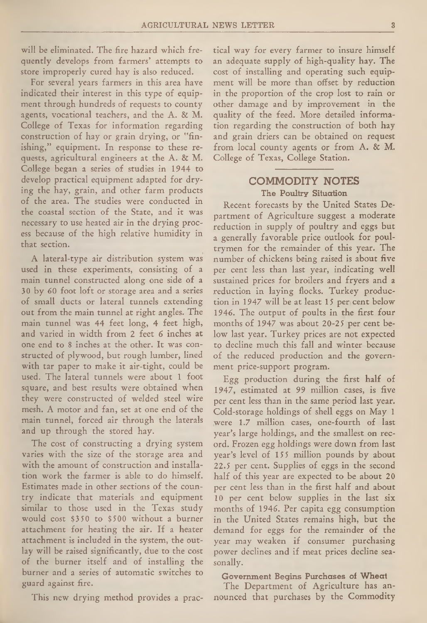will be eliminated. The fire hazard which frequently develops from farmers' attempts to store improperly cured hay is also reduced.

For several years farmers in this area have indicated their interest in this type of equipment through hundreds of requests to county agents, vocational teachers, and the A. & M. College of Texas for information regarding construction of hay or grain drying, or "finishing," equipment. In response to these requests, agricultural engineers at the A. & M. College began a series of studies in 1944 to develop practical equipment adapted for drying the **hay,** grain, and other farm products of the area. The studies were conducted in the coastal section of the State, and it was necessary to use heated air in the drying process because of the high relative humidity in that section.

A lateral-type air distribution system was used in these experiments, consisting of a main tunnel constructed along one side of a 30 by 60 foot loft or storage area and a series of small ducts or lateral tunnels extending out from the main tunnel at right angles. The main tunnel was 44 feet long, 4 feet high, and varied in width from 2 feet 6 inches at one end to 8 inches at the other. It was constructed of plywood, but rough lumber, lined with tar paper to make it air-tight, could be used. The lateral tunnels were about 1 foot square, and best results were obtained when they were constructed of welded steel wire mesh. A motor and fan, set at one end of the main tunnel, forced air through the laterals and up through the stored hay.

The cost of constructing a drying system varies with the size of the storage area and with the amount of construction and installation work the farmer is able to do himself. Estimates made in other sections of the country indicate that materials and equipment similar to those used in the Texas study would cost \$3 50 to \$500 without a burner attachment for heating the air. If a heater attachment is included in the system, the outlay will be raised significantly, due to the cost of the burner itself and of installing the burner and a series of automatic switches to guard against fire.

This new drying method provides a prac-

tical way for every farmer to insure himself an adequate supply of high-quality hay. The cost of installing and operating such equipment will be more than offset by reduction in the proportion of the crop lost to rain or other damage and by improvement in the quality of the feed. More detailed information regarding the construction of both hay and grain driers can be obtained on request from local county agents or from A. & M. College of Texas, College Station.

## COMMODITY NOTES The Poultry Situation

Recent forecasts by the United States Department of Agriculture suggest a moderate reduction in supply of poultry and eggs but a generally favorable price outlook for poultrymen for the remainder of this year. The number of chickens being raised is about five per cent less than last year, indicating well sustained prices for broilers and fryers and a reduction in laying flocks. Turkey production in 1947 will be at least 15 per cent below 1946. The output of poults in the first four months of 1947 was about 20-25 per cent below last year. Turkey prices are not expected to decline much this fall and winter because of the reduced production and the government price-support program.

Egg production during the first half of 1947, estimated at 99 million cases, is five per cent less than in the same period last year. Cold-storage holdings of shell eggs on May 1 were 1.7 million cases, one-fourth of last year's large holdings, and the smallest on record. Frozen egg holdings were down from last year's level of 155 million pounds by about 22.5 per cent. Supplies of eggs in the second half of this year are expected to be about 20 per cent less than in the first half and about 10 per cent below supplies in the last six months of 1946. Per capita egg consumption in the United States remains high, but the demand for eggs for the remainder of the year may weaken if consumer purchasing power declines and if meat prices decline seasonally.

#### Government Begins Purchases of Wheat

The Department of Agriculture has announced that purchases by the Commodity